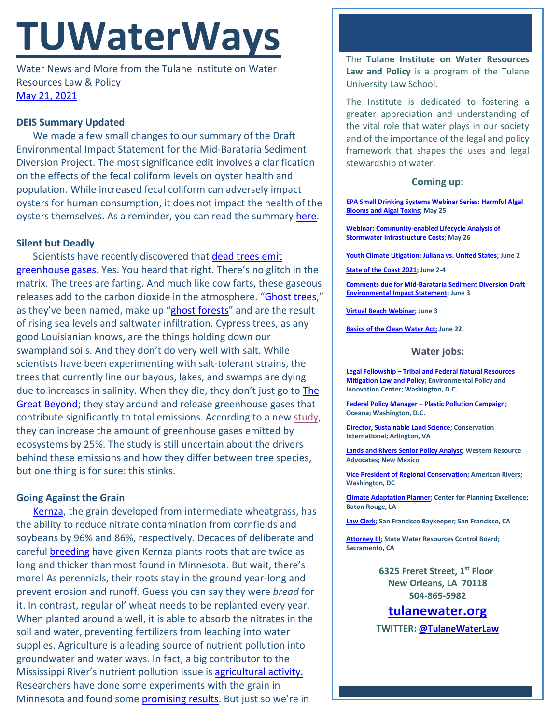# **TUWaterWays**

Water News and More from the Tulane Institute on Water Resources Law & Policy [May 21, 2021](https://thisdayinwaterhistory.wordpress.com/)

# **DEIS Summary Updated**

We made a few small changes to our summary of the Draft Environmental Impact Statement for the Mid-Barataria Sediment Diversion Project. The most significance edit involves a clarification on the effects of the fecal coliform levels on oyster health and population. While increased fecal coliform can adversely impact oysters for human consumption, it does not impact the health of the oysters themselves. As a reminder, you can read the summar[y here.](https://a21005ea-f0f0-4cff-a527-7c658373c740.filesusr.com/ugd/32079b_ecdcfb143b354bcfb93468338ae49bca.pdf)

## **Silent but Deadly**

Scientists have recently discovered that dead trees emit [greenhouse gases.](https://www.scientificamerican.com/article/tree-farts-increase-carbon-emissions-in-ghost-forests/) Yes. You heard that right. There's no glitch in the matrix. The trees are farting. And much like cow farts, these gaseous releases add to the carbon dioxide in the atmosphere. ["Ghost trees,](https://bulbapedia.bulbagarden.net/wiki/Trevenant_(Pok%C3%A9mon))" as they've been named, make up ["ghost forests"](https://oceanservice.noaa.gov/facts/ghost-forest.html) and are the result of rising sea levels and saltwater infiltration. Cypress trees, as any good Louisianian knows, are the things holding down our swampland soils. And they don't do very well with salt. While scientists have been experimenting with salt-tolerant strains, the trees that currently line our bayous, lakes, and swamps are dying due to increases in salinity. When they die, they don't just go to The [Great Beyond;](https://www.youtube.com/watch?v=1gjrVACqo2w) they stay around and release greenhouse gases that contribute significantly to total emissions. According to a new [study,](https://link.springer.com/article/10.1007/s10533-021-00797-5?shared-article-renderer) they can increase the amount of greenhouse gases emitted by ecosystems by 25%. The study is still uncertain about the drivers behind these emissions and how they differ between tree species, but one thing is for sure: this stinks.

## **Going Against the Grain**

[Kernza,](https://landinstitute.org/our-work/perennial-crops/kernza/) the grain developed from intermediate wheatgrass, has the ability to reduce nitrate contamination from cornfields and soybeans by 96% and 86%, respectively. Decades of deliberate and careful [breeding](https://www.youtube.com/watch?v=2xpTz7SUbnc) have given Kernza plants roots that are twice as long and thicker than most found in Minnesota. But wait, there's more! As perennials, their roots stay in the ground year-long and prevent erosion and runoff. Guess you can say they were *bread* for it. In contrast, regular ol' wheat needs to be replanted every year. When planted around a well, it is able to absorb the nitrates in the soil and water, preventing fertilizers from leaching into water supplies. Agriculture is a leading source of nutrient pollution into groundwater and water ways. In fact, a big contributor to the Mississippi River's nutrient pollution issue is [agricultural activity.](https://www.epa.gov/sites/production/files/2015-03/documents/epa-marb-fact-sheet-112911_508.pdf) Researchers have done some experiments with the grain in Minnesota and found some [promising results.](https://www.startribune.com/new-kind-of-wheat-shows-promise-for-cleaning-nitrates-from-soil-water/600057973/) But just so we're in

The **Tulane Institute on Water Resources Law and Policy** is a program of the Tulane University Law School.

The Institute is dedicated to fostering a greater appreciation and understanding of the vital role that water plays in our society and of the importance of the legal and policy framework that shapes the uses and legal stewardship of water.

### **Coming up:**

**[EPA Small Drinking Systems Webinar Series: Harmful Algal](https://www.epa.gov/water-research/small-drinking-water-systems-webinar-series)  [Blooms and Algal Toxins;](https://www.epa.gov/water-research/small-drinking-water-systems-webinar-series) May 25**

**[Webinar: Community-enabled Lifecycle Analysis of](https://www.epa.gov/water-research/water-research-webinar-series)  [Stormwater Infrastructure Costs;](https://www.epa.gov/water-research/water-research-webinar-series) May 26**

**[Youth Climate Litigation: Juliana vs. United States;](https://www.eli.org/events/youth-climate-litigation-juliana-vs-united-states) June 2**

**[State of the Coast 2021;](https://www.stateofthecoast.org/) June 2-4**

**[Comments due for Mid-Barataria Sediment Diversion Draft](https://parkplanning.nps.gov/document.cfm?parkID=534&projectID=100083&documentID=110454)  [Environmental Impact Statement;](https://parkplanning.nps.gov/document.cfm?parkID=534&projectID=100083&documentID=110454) June 3**

**[Virtual Beach](https://www.epa.gov/research-states/forms/register-epa-tools-resources-training-webinar-virtual-beach-vb) Webinar; June 3**

**[Basics of the Clean Water Act;](https://www.eli.org/events/basics-clean-water-act-eli-summer-school-2021) June 22**

#### **Water jobs:**

**Legal Fellowship – [Tribal and Federal Natural Resources](http://policyinnovation.org/wp-content/uploads/Tribal-Mitigation-Policy-Fellow-Position-Description-1.pdf)  [Mitigation Law and Policy;](http://policyinnovation.org/wp-content/uploads/Tribal-Mitigation-Policy-Fellow-Position-Description-1.pdf) Environmental Policy and Innovation Center; Washington, D.C.**

**Federal Policy Manager – [Plastic Pollution Campaign;](https://usa.oceana.org/about-us/employment-opportunities/federal-policy-manager) Oceana; Washington, D.C.**

**[Director, Sustainable Land Science;](https://phh.tbe.taleo.net/phh04/ats/careers/v2/viewRequisition?org=CONSERVATION&cws=39&rid=1439) Conservation International; Arlington, VA**

**[Lands and Rivers Senior Policy Analyst;](https://westernresourceadvocates.org/careers/lands-rivers-sr-policy-analyst/) Western Resource Advocates; New Mexico**

**[Vice President of Regional Conservation;](https://americanrivers.bamboohr.com/jobs/view.php?id=74) American Rivers; Washington, DC**

**[Climate Adaptation Planner;](https://www.cpex.org/jobs) Center for Planning Excellence; Baton Rouge, LA**

**[Law Clerk;](https://baykeeper.org/about-baykeeper/jobs-and-internships#clerk) San Francisco Baykeeper; San Francisco, CA**

**[Attorney III;](https://www.calcareers.ca.gov/CalHrPublic/Jobs/JobPosting.aspx?JobControlId=233350) State Water Resources Control Board; Sacramento, CA**

> **6325 Freret Street, 1st Floor New Orleans, LA 70118 504-865-5982**

# **tulanewater.org**

**TWITTER: [@TulaneWaterLaw](http://www.twitter.com/TulaneWaterLaw)**